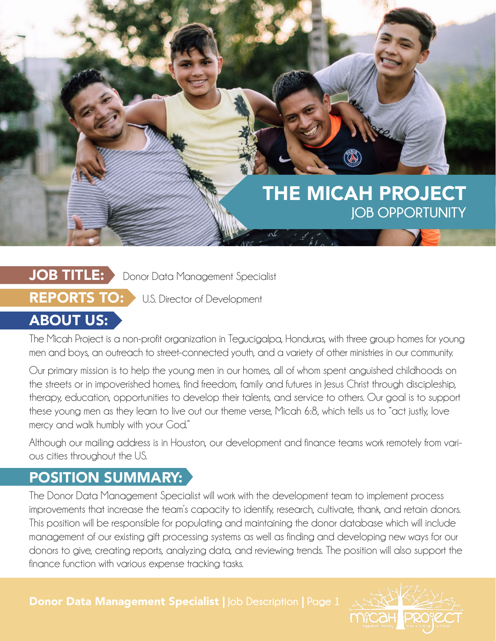# THE MICAH PROJECT **JOB OPPORTUNITY**

#### JOB TITLE: Donor Data Management Specialist

**REPORTS TO:** U.S. Director of Development

# **ABOUT US:**

The Micah Project is a non-profit organization in Tegucigalpa, Honduras, with three group homes for young men and boys, an outreach to street-connected youth, and a variety of other ministries in our community.

Our primary mission is to help the young men in our homes, all of whom spent anguished childhoods on the streets or in impoverished homes, find freedom, family and futures in Jesus Christ through discipleship, therapy, education, opportunities to develop their talents, and service to others. Our goal is to support these young men as they learn to live out our theme verse, Micah 6:8, which tells us to "act justly, love mercy and walk humbly with your God."

Although our mailing address is in Houston, our development and finance teams work remotely from various cities throughout the US.

### POSITION SUMMARY:

The Donor Data Management Specialist will work with the development team to implement process improvements that increase the team's capacity to identify, research, cultivate, thank, and retain donors. This position will be responsible for populating and maintaining the donor database which will include management of our existing gift processing systems as well as finding and developing new ways for our donors to give, creating reports, analyzing data, and reviewing trends. The position will also support the finance function with various expense tracking tasks.

Donor Data Management Specialist | **Job Description** | **Page 1**